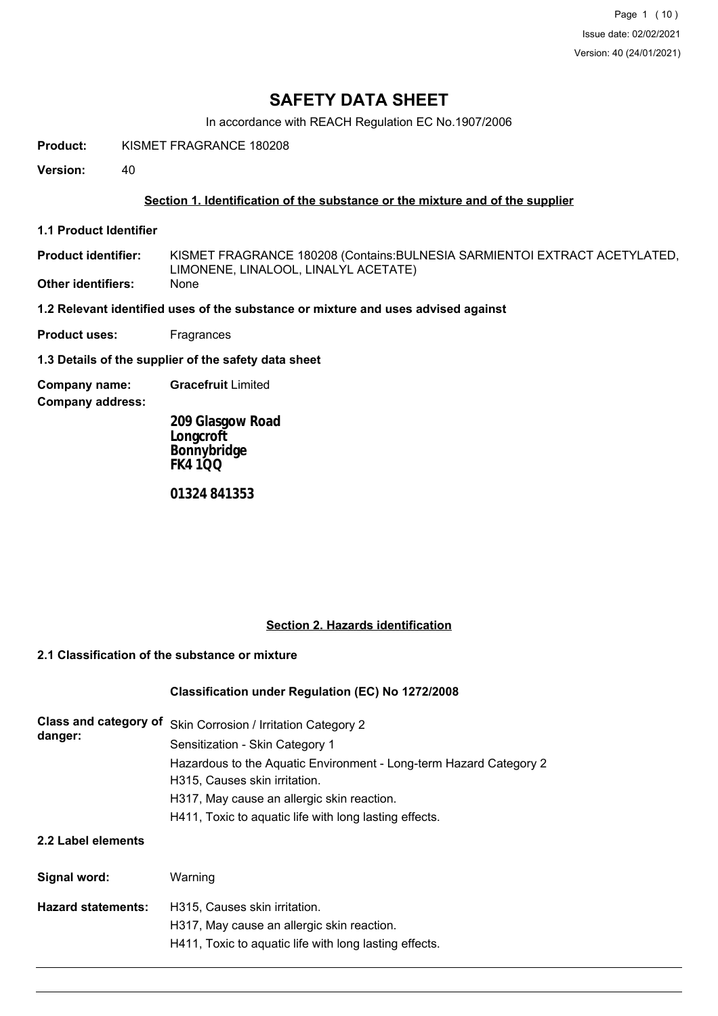Page 1 (10) Issue date: 02/02/2021 Version: 40 (24/01/2021)

# **SAFETY DATA SHEET**

In accordance with REACH Regulation EC No.1907/2006

**Product:** KISMET FRAGRANCE 180208

**Version:** 40

### **Section 1. Identification of the substance or the mixture and of the supplier**

**1.1 Product Identifier**

KISMET FRAGRANCE 180208 (Contains:BULNESIA SARMIENTOI EXTRACT ACETYLATED, LIMONENE, LINALOOL, LINALYL ACETATE) **Product identifier: Other identifiers:** None

**1.2 Relevant identified uses of the substance or mixture and uses advised against**

**Product uses:** Fragrances

**1.3 Details of the supplier of the safety data sheet**

**Company name: Gracefruit** Limited

**Company address:**

**209 Glasgow Road Longcroft Bonnybridge FK4 1QQ**

**01324 841353**

#### **Section 2. Hazards identification**

# **2.1 Classification of the substance or mixture**

#### **Classification under Regulation (EC) No 1272/2008**

| Class and category of<br>danger: | Skin Corrosion / Irritation Category 2<br>Sensitization - Skin Category 1                           |  |  |  |
|----------------------------------|-----------------------------------------------------------------------------------------------------|--|--|--|
|                                  | Hazardous to the Aquatic Environment - Long-term Hazard Category 2<br>H315, Causes skin irritation. |  |  |  |
|                                  | H317, May cause an allergic skin reaction.                                                          |  |  |  |
|                                  | H411, Toxic to aquatic life with long lasting effects.                                              |  |  |  |
| 2.2 Label elements               |                                                                                                     |  |  |  |
| Signal word:                     | Warning                                                                                             |  |  |  |
| <b>Hazard statements:</b>        | H315, Causes skin irritation.                                                                       |  |  |  |

- H317, May cause an allergic skin reaction.
	- H411, Toxic to aquatic life with long lasting effects.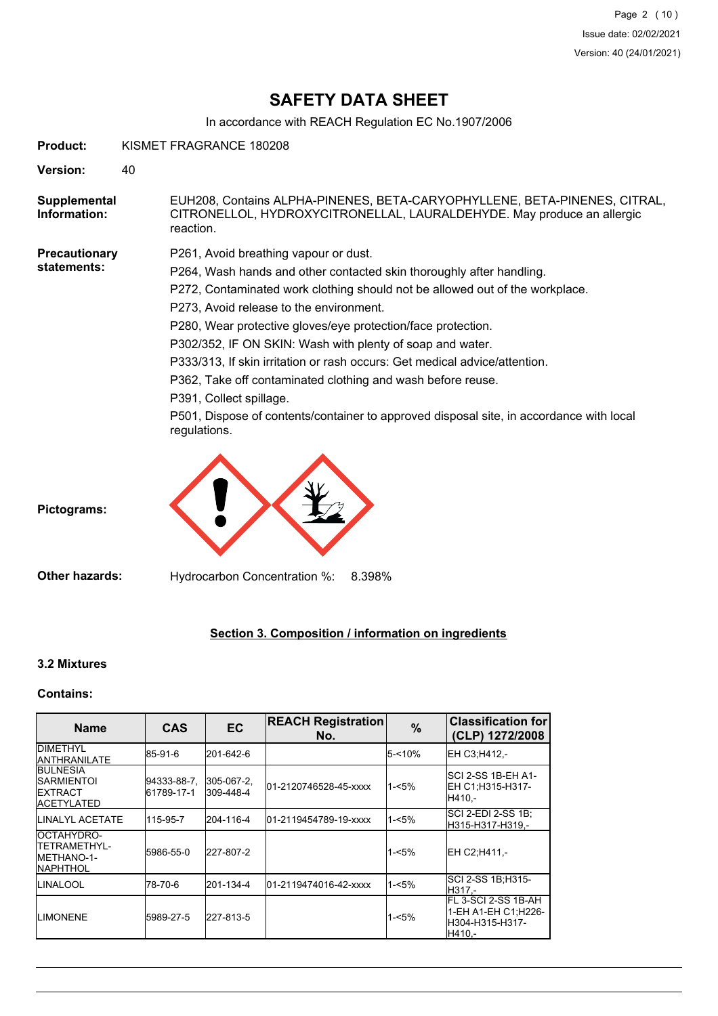# **SAFETY DATA SHEET**

In accordance with REACH Regulation EC No.1907/2006

| <b>Product:</b>              |    | KISMET FRAGRANCE 180208                                                                                                                                                                                                                                                                                                                                                                                                                                                                                                                                                                                                                                  |  |  |  |
|------------------------------|----|----------------------------------------------------------------------------------------------------------------------------------------------------------------------------------------------------------------------------------------------------------------------------------------------------------------------------------------------------------------------------------------------------------------------------------------------------------------------------------------------------------------------------------------------------------------------------------------------------------------------------------------------------------|--|--|--|
| <b>Version:</b>              | 40 |                                                                                                                                                                                                                                                                                                                                                                                                                                                                                                                                                                                                                                                          |  |  |  |
| Supplemental<br>Information: |    | EUH208, Contains ALPHA-PINENES, BETA-CARYOPHYLLENE, BETA-PINENES, CITRAL,<br>CITRONELLOL, HYDROXYCITRONELLAL, LAURALDEHYDE. May produce an allergic<br>reaction.                                                                                                                                                                                                                                                                                                                                                                                                                                                                                         |  |  |  |
| Precautionary<br>statements: |    | P261, Avoid breathing vapour or dust.<br>P264, Wash hands and other contacted skin thoroughly after handling.<br>P272, Contaminated work clothing should not be allowed out of the workplace.<br>P273, Avoid release to the environment.<br>P280, Wear protective gloves/eye protection/face protection.<br>P302/352, IF ON SKIN: Wash with plenty of soap and water.<br>P333/313, If skin irritation or rash occurs: Get medical advice/attention.<br>P362, Take off contaminated clothing and wash before reuse.<br>P391, Collect spillage.<br>P501, Dispose of contents/container to approved disposal site, in accordance with local<br>regulations. |  |  |  |
| Pictograms:                  |    |                                                                                                                                                                                                                                                                                                                                                                                                                                                                                                                                                                                                                                                          |  |  |  |
| <b>Other hazards:</b>        |    | Hydrocarbon Concentration %:<br>8.398%                                                                                                                                                                                                                                                                                                                                                                                                                                                                                                                                                                                                                   |  |  |  |

# **Section 3. Composition / information on ingredients**

# **3.2 Mixtures**

### **Contains:**

| <b>Name</b>                                                                     | <b>CAS</b>                | <b>EC</b>               | <b>REACH Registration</b><br>No. | %        | <b>Classification for</b><br>(CLP) 1272/2008                               |
|---------------------------------------------------------------------------------|---------------------------|-------------------------|----------------------------------|----------|----------------------------------------------------------------------------|
| <b>IDIMETHYL</b><br><b>IANTHRANILATE</b>                                        | 85-91-6                   | 201-642-6               |                                  | 5-<10%   | EH C3:H412.-                                                               |
| <b>IBULNESIA</b><br><b>ISARMIENTOI</b><br><b>IEXTRACT</b><br><b>IACETYLATED</b> | 94333-88-7,<br>61789-17-1 | 305-067-2,<br>309-448-4 | 01-2120746528-45-xxxx            | $1 - 5%$ | SCI 2-SS 1B-EH A1-<br>EH C1:H315-H317-<br>IH410.-                          |
| <b>ILINALYL ACETATE</b>                                                         | 115-95-7                  | 204-116-4               | 01-2119454789-19-xxxx            | 1-<5%    | ISCI 2-EDI 2-SS 1B:<br>H315-H317-H319,-                                    |
| IOCTAHYDRO-<br><b>ITETRAMETHYL-</b><br><b>IMETHANO-1-</b><br><b>INAPHTHOL</b>   | 5986-55-0                 | 227-807-2               |                                  | $1 - 5%$ | IEH C2:H411 -                                                              |
| <b>ILINALOOL</b>                                                                | 78-70-6                   | 201-134-4               | l01-2119474016-42-xxxx           | $1 - 5%$ | ISCI 2-SS 1B:H315-<br>H317.-                                               |
| <b>I</b> LIMONENE                                                               | 5989-27-5                 | 227-813-5               |                                  | 1-<5%    | IFL 3-SCI 2-SS 1B-AH<br>1-EH A1-EH C1:H226-<br>lH304-H315-H317-<br>IH410.- |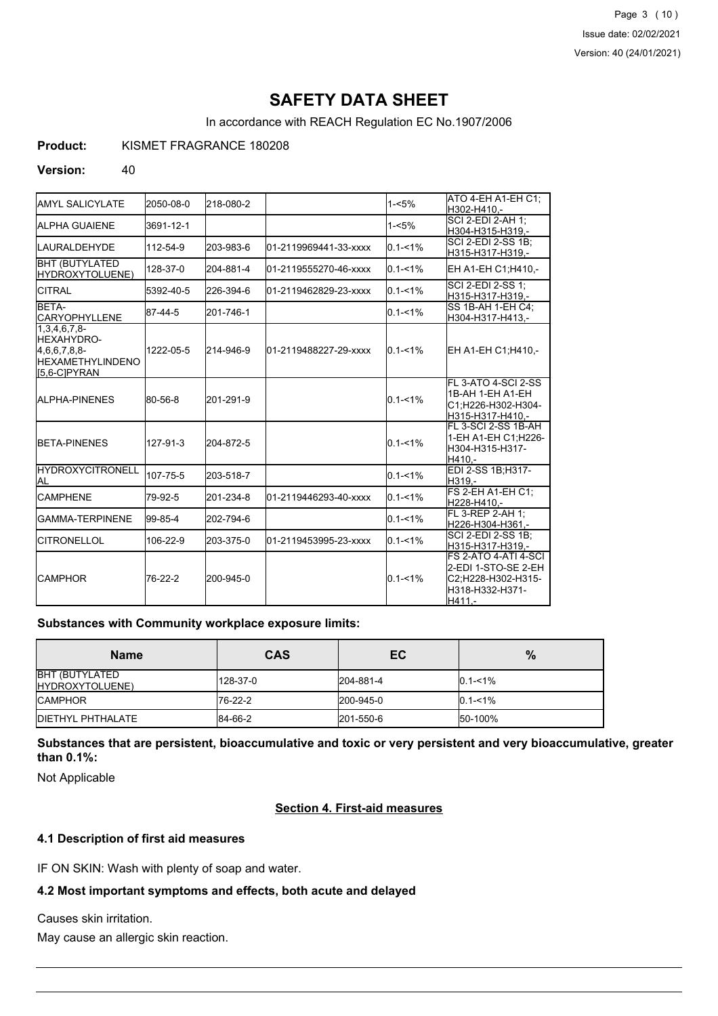Page 3 (10) Issue date: 02/02/2021 Version: 40 (24/01/2021)

# **SAFETY DATA SHEET**

In accordance with REACH Regulation EC No.1907/2006

**Product:** KISMET FRAGRANCE 180208

#### **Version:** 40

| <b>I</b> AMYL SALICYLATE                                                                           | 2050-08-0 | 218-080-2 |                       | $1 - 5%$    | ATO 4-EH A1-EH C1:<br>H302-H410.-                                                              |
|----------------------------------------------------------------------------------------------------|-----------|-----------|-----------------------|-------------|------------------------------------------------------------------------------------------------|
| <b>I</b> ALPHA GUAIENE                                                                             | 3691-12-1 |           |                       | $1 - 5%$    | SCI 2-EDI 2-AH 1:<br>H304-H315-H319,-                                                          |
| ILAURALDEHYDE                                                                                      | 112-54-9  | 203-983-6 | 01-2119969441-33-xxxx | $0.1 - 1%$  | ISCI 2-EDI 2-SS 1B:<br>H315-H317-H319.-                                                        |
| <b>BHT (BUTYLATED</b><br>HYDROXYTOLUENE)                                                           | 128-37-0  | 204-881-4 | 01-2119555270-46-xxxx | $0.1 - 1\%$ | EH A1-EH C1; H410,-                                                                            |
| <b>CITRAL</b>                                                                                      | 5392-40-5 | 226-394-6 | 01-2119462829-23-xxxx | $0.1 - 1\%$ | SCI 2-EDI 2-SS 1;<br>H315-H317-H319.-                                                          |
| BETA-<br><b>ICARYOPHYLLENE</b>                                                                     | 87-44-5   | 201-746-1 |                       | $0.1 - 1\%$ | ISS 1B-AH 1-EH C4:<br>H304-H317-H413,-                                                         |
| $1,3,4,6,7,8-$<br><b>I</b> HEXAHYDRO-<br>[4,6,6,7,8,8]<br><b>IHEXAMETHYLINDENO</b><br>IS.6-CIPYRAN | 1222-05-5 | 214-946-9 | 01-2119488227-29-xxxx | $0.1 - 1\%$ | EH A1-EH C1;H410,-                                                                             |
| <b>JALPHA-PINENES</b>                                                                              | 80-56-8   | 201-291-9 |                       | $0.1 - 1\%$ | FL 3-ATO 4-SCI 2-SS<br>1B-AH 1-EH A1-EH<br>C1;H226-H302-H304-<br>H315-H317-H410.-              |
| <b>BETA-PINENES</b>                                                                                | 127-91-3  | 204-872-5 |                       | $0.1 - 1\%$ | FL 3-SCI 2-SS 1B-AH<br>1-EH A1-EH C1; H226-<br>H304-H315-H317-<br>H410.-                       |
| <b>HYDROXYCITRONELL</b><br>IAL                                                                     | 107-75-5  | 203-518-7 |                       | $0.1 - 1\%$ | EDI 2-SS 1B;H317-<br>H319.-                                                                    |
| <b>CAMPHENE</b>                                                                                    | 79-92-5   | 201-234-8 | 01-2119446293-40-xxxx | $0.1 - 1\%$ | <b>FS 2-EH A1-EH C1:</b><br>H228-H410.-                                                        |
| IGAMMA-TERPINENE                                                                                   | 99-85-4   | 202-794-6 |                       | $0.1 - 1\%$ | FL 3-REP 2-AH 1:<br>H226-H304-H361,-                                                           |
| <b>ICITRONELLOL</b>                                                                                | 106-22-9  | 203-375-0 | 01-2119453995-23-xxxx | $0.1 - 1\%$ | ISCI 2-EDI 2-SS 1B:<br>H315-H317-H319,-                                                        |
| ICAMPHOR                                                                                           | 76-22-2   | 200-945-0 |                       | $0.1 - 1\%$ | FS 2-ATO 4-ATI 4-SCI<br>2-EDI 1-STO-SE 2-EH<br>C2;H228-H302-H315-<br>H318-H332-H371-<br>H411.- |

#### **Substances with Community workplace exposure limits:**

| <b>Name</b>                               | <b>CAS</b> | EC        | %           |
|-------------------------------------------|------------|-----------|-------------|
| <b>BHT (BUTYLATED)</b><br>HYDROXYTOLUENE) | 128-37-0   | 204-881-4 | $0.1 - 1\%$ |
| <b>ICAMPHOR</b>                           | 176-22-2   | 200-945-0 | $0.1 - 1\%$ |
| <b>IDIETHYL PHTHALATE</b>                 | 84-66-2    | 201-550-6 | 50-100%     |

**Substances that are persistent, bioaccumulative and toxic or very persistent and very bioaccumulative, greater than 0.1%:**

Not Applicable

#### **Section 4. First-aid measures**

## **4.1 Description of first aid measures**

IF ON SKIN: Wash with plenty of soap and water.

## **4.2 Most important symptoms and effects, both acute and delayed**

Causes skin irritation.

May cause an allergic skin reaction.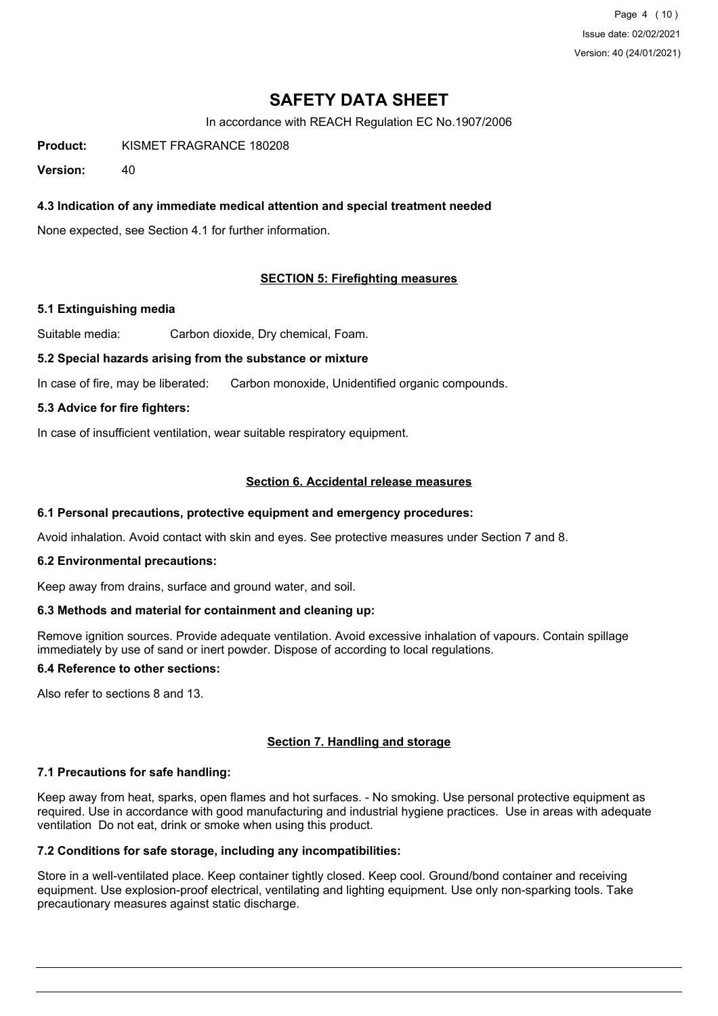Page 4 (10) Issue date: 02/02/2021 Version: 40 (24/01/2021)

# **SAFETY DATA SHEET**

In accordance with REACH Regulation EC No.1907/2006

**Product:** KISMET FRAGRANCE 180208

**Version:** 40

### **4.3 Indication of any immediate medical attention and special treatment needed**

None expected, see Section 4.1 for further information.

#### **SECTION 5: Firefighting measures**

#### **5.1 Extinguishing media**

Suitable media: Carbon dioxide, Dry chemical, Foam.

#### **5.2 Special hazards arising from the substance or mixture**

In case of fire, may be liberated: Carbon monoxide, Unidentified organic compounds.

#### **5.3 Advice for fire fighters:**

In case of insufficient ventilation, wear suitable respiratory equipment.

### **Section 6. Accidental release measures**

#### **6.1 Personal precautions, protective equipment and emergency procedures:**

Avoid inhalation. Avoid contact with skin and eyes. See protective measures under Section 7 and 8.

#### **6.2 Environmental precautions:**

Keep away from drains, surface and ground water, and soil.

#### **6.3 Methods and material for containment and cleaning up:**

Remove ignition sources. Provide adequate ventilation. Avoid excessive inhalation of vapours. Contain spillage immediately by use of sand or inert powder. Dispose of according to local regulations.

### **6.4 Reference to other sections:**

Also refer to sections 8 and 13.

#### **Section 7. Handling and storage**

#### **7.1 Precautions for safe handling:**

Keep away from heat, sparks, open flames and hot surfaces. - No smoking. Use personal protective equipment as required. Use in accordance with good manufacturing and industrial hygiene practices. Use in areas with adequate ventilation Do not eat, drink or smoke when using this product.

## **7.2 Conditions for safe storage, including any incompatibilities:**

Store in a well-ventilated place. Keep container tightly closed. Keep cool. Ground/bond container and receiving equipment. Use explosion-proof electrical, ventilating and lighting equipment. Use only non-sparking tools. Take precautionary measures against static discharge.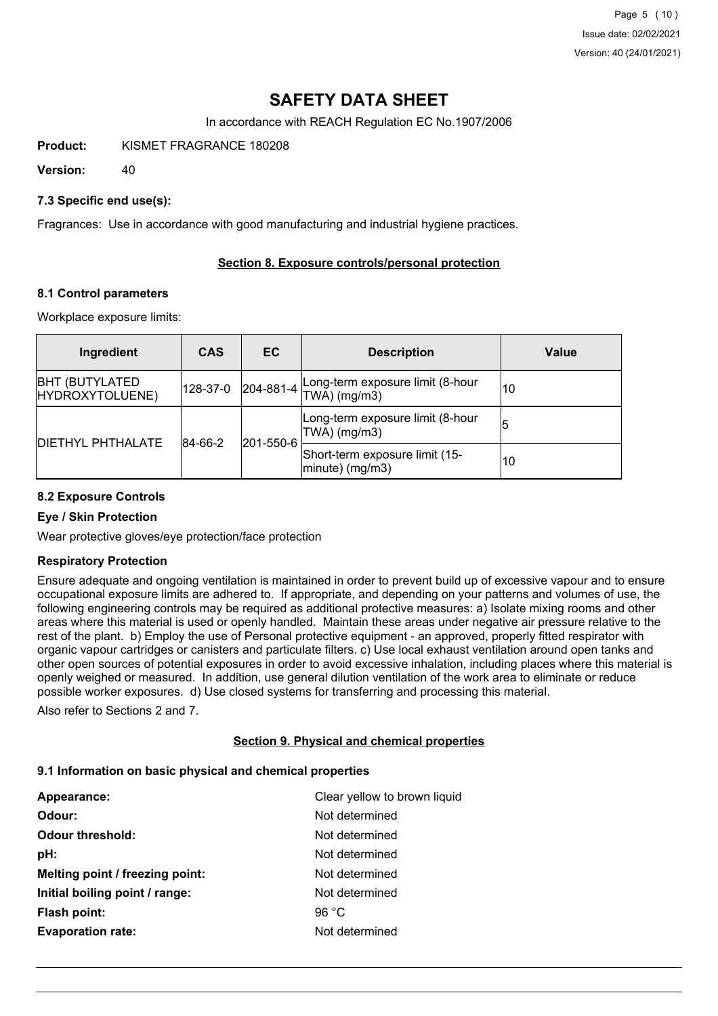Page 5 (10) Issue date: 02/02/2021 Version: 40 (24/01/2021)

# **SAFETY DATA SHEET**

In accordance with REACH Regulation EC No.1907/2006

**Product:** KISMET FRAGRANCE 180208

**Version:** 40

### **7.3 Specific end use(s):**

Fragrances: Use in accordance with good manufacturing and industrial hygiene practices.

### **Section 8. Exposure controls/personal protection**

#### **8.1 Control parameters**

Workplace exposure limits:

| Ingredient                                | <b>CAS</b>           | EC.               | <b>Description</b>                                   | Value |
|-------------------------------------------|----------------------|-------------------|------------------------------------------------------|-------|
| <b>BHT (BUTYLATED)</b><br>HYDROXYTOLUENE) | 128-37-0             | $ 204 - 881 - 4 $ | Long-term exposure limit (8-hour<br>$TWA)$ (mg/m3)   | 10    |
|                                           | 201-550-6<br>84-66-2 |                   | Long-term exposure limit (8-hour<br>$ TWA $ (mg/m3)  | 15    |
| <b>DIETHYL PHTHALATE</b>                  |                      |                   | Short-term exposure limit (15-<br>$ minute)$ (mg/m3) | 10    |

#### **8.2 Exposure Controls**

#### **Eye / Skin Protection**

Wear protective gloves/eye protection/face protection

#### **Respiratory Protection**

Ensure adequate and ongoing ventilation is maintained in order to prevent build up of excessive vapour and to ensure occupational exposure limits are adhered to. If appropriate, and depending on your patterns and volumes of use, the following engineering controls may be required as additional protective measures: a) Isolate mixing rooms and other areas where this material is used or openly handled. Maintain these areas under negative air pressure relative to the rest of the plant. b) Employ the use of Personal protective equipment - an approved, properly fitted respirator with organic vapour cartridges or canisters and particulate filters. c) Use local exhaust ventilation around open tanks and other open sources of potential exposures in order to avoid excessive inhalation, including places where this material is openly weighed or measured. In addition, use general dilution ventilation of the work area to eliminate or reduce possible worker exposures. d) Use closed systems for transferring and processing this material.

Also refer to Sections 2 and 7.

#### **Section 9. Physical and chemical properties**

#### **9.1 Information on basic physical and chemical properties**

| Appearance:                     | Clear yellow to brown liquid |
|---------------------------------|------------------------------|
| Odour:                          | Not determined               |
| <b>Odour threshold:</b>         | Not determined               |
| pH:                             | Not determined               |
| Melting point / freezing point: | Not determined               |
| Initial boiling point / range:  | Not determined               |
| <b>Flash point:</b>             | 96 $°C$                      |
| <b>Evaporation rate:</b>        | Not determined               |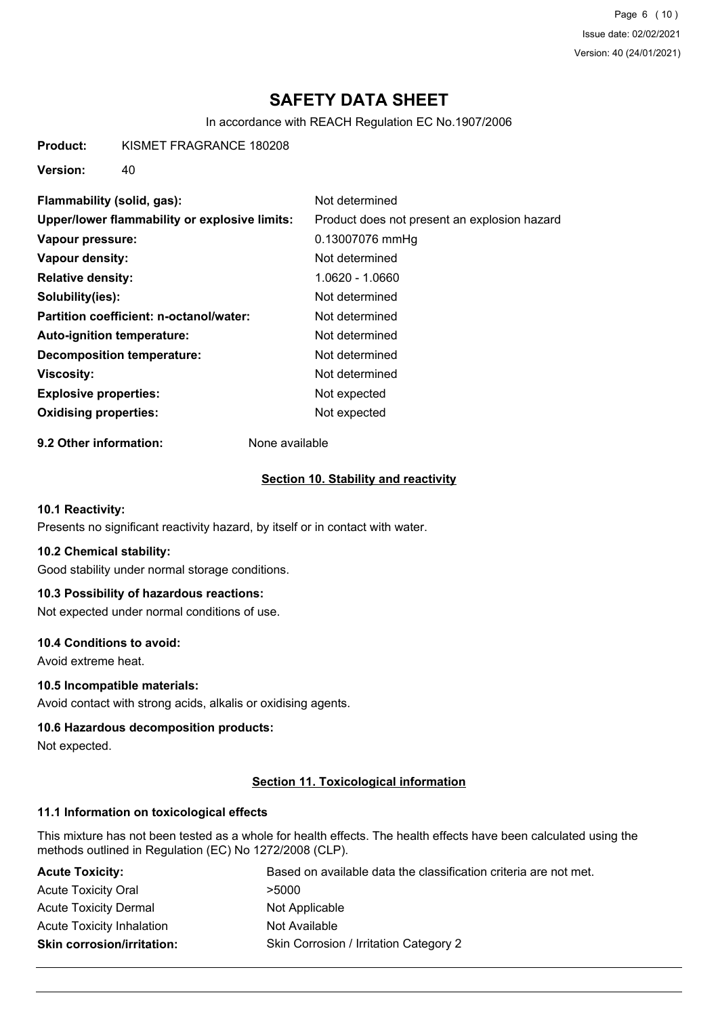Page 6 (10) Issue date: 02/02/2021 Version: 40 (24/01/2021)

# **SAFETY DATA SHEET**

In accordance with REACH Regulation EC No.1907/2006

**Product:** KISMET FRAGRANCE 180208

**Version:** 40

| Flammability (solid, gas):                    | Not determined                               |
|-----------------------------------------------|----------------------------------------------|
| Upper/lower flammability or explosive limits: | Product does not present an explosion hazard |
| Vapour pressure:                              | 0.13007076 mmHg                              |
| Vapour density:                               | Not determined                               |
| <b>Relative density:</b>                      | 1.0620 - 1.0660                              |
| Solubility(ies):                              | Not determined                               |
| Partition coefficient: n-octanol/water:       | Not determined                               |
| Auto-ignition temperature:                    | Not determined                               |
| <b>Decomposition temperature:</b>             | Not determined                               |
| Viscosity:                                    | Not determined                               |
| <b>Explosive properties:</b>                  | Not expected                                 |
| <b>Oxidising properties:</b>                  | Not expected                                 |

**9.2 Other information:** None available

#### **Section 10. Stability and reactivity**

### **10.1 Reactivity:**

Presents no significant reactivity hazard, by itself or in contact with water.

#### **10.2 Chemical stability:**

Good stability under normal storage conditions.

### **10.3 Possibility of hazardous reactions:**

Not expected under normal conditions of use.

#### **10.4 Conditions to avoid:**

Avoid extreme heat.

#### **10.5 Incompatible materials:**

Avoid contact with strong acids, alkalis or oxidising agents.

#### **10.6 Hazardous decomposition products:**

Not expected.

#### **Section 11. Toxicological information**

### **11.1 Information on toxicological effects**

This mixture has not been tested as a whole for health effects. The health effects have been calculated using the methods outlined in Regulation (EC) No 1272/2008 (CLP).

| <b>Acute Toxicity:</b>            | Based on available data the classification criteria are not met. |
|-----------------------------------|------------------------------------------------------------------|
| <b>Acute Toxicity Oral</b>        | >5000                                                            |
| <b>Acute Toxicity Dermal</b>      | Not Applicable                                                   |
| <b>Acute Toxicity Inhalation</b>  | Not Available                                                    |
| <b>Skin corrosion/irritation:</b> | Skin Corrosion / Irritation Category 2                           |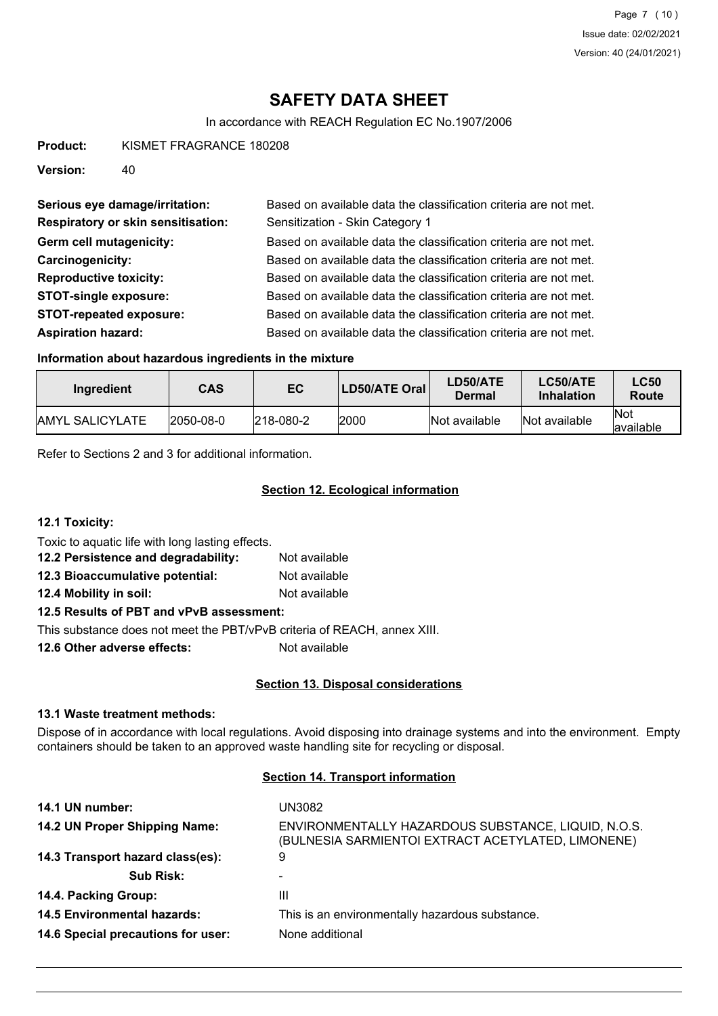# **SAFETY DATA SHEET**

In accordance with REACH Regulation EC No.1907/2006

**Product:** KISMET FRAGRANCE 180208

**Version:** 40

| Serious eye damage/irritation:            | Based on available data the classification criteria are not met. |
|-------------------------------------------|------------------------------------------------------------------|
| <b>Respiratory or skin sensitisation:</b> | Sensitization - Skin Category 1                                  |
| Germ cell mutagenicity:                   | Based on available data the classification criteria are not met. |
| Carcinogenicity:                          | Based on available data the classification criteria are not met. |
| <b>Reproductive toxicity:</b>             | Based on available data the classification criteria are not met. |
| <b>STOT-single exposure:</b>              | Based on available data the classification criteria are not met. |
| <b>STOT-repeated exposure:</b>            | Based on available data the classification criteria are not met. |
| <b>Aspiration hazard:</b>                 | Based on available data the classification criteria are not met. |

#### **Information about hazardous ingredients in the mixture**

| Ingredient              | <b>CAS</b> | EC                | LD50/ATE Oral | LD50/ATE<br>Dermal | LC50/ATE<br><b>Inhalation</b> | <b>LC50</b><br>Route     |
|-------------------------|------------|-------------------|---------------|--------------------|-------------------------------|--------------------------|
| <b>JAMYL SALICYLATE</b> | 2050-08-0  | $ 218 - 080 - 2 $ | 2000          | Not available      | Not available                 | <b>Not</b><br>lavailable |

Refer to Sections 2 and 3 for additional information.

## **Section 12. Ecological information**

**12.1 Toxicity:**

Toxic to aquatic life with long lasting effects.

| 12.2 Persistence and degradability: | Not available |
|-------------------------------------|---------------|
| 12.3 Bioaccumulative potential:     | Not available |

**12.4 Mobility in soil:** Not available

# **12.5 Results of PBT and vPvB assessment:**

This substance does not meet the PBT/vPvB criteria of REACH, annex XIII.

**12.6 Other adverse effects:** Not available

## **Section 13. Disposal considerations**

#### **13.1 Waste treatment methods:**

Dispose of in accordance with local regulations. Avoid disposing into drainage systems and into the environment. Empty containers should be taken to an approved waste handling site for recycling or disposal.

#### **Section 14. Transport information**

| 14.1 UN number:                    | UN3082                                                                                                    |
|------------------------------------|-----------------------------------------------------------------------------------------------------------|
| 14.2 UN Proper Shipping Name:      | ENVIRONMENTALLY HAZARDOUS SUBSTANCE, LIQUID, N.O.S.<br>(BULNESIA SARMIENTOI EXTRACT ACETYLATED, LIMONENE) |
| 14.3 Transport hazard class(es):   | 9                                                                                                         |
| <b>Sub Risk:</b>                   |                                                                                                           |
| 14.4. Packing Group:               | Ш                                                                                                         |
| <b>14.5 Environmental hazards:</b> | This is an environmentally hazardous substance.                                                           |
| 14.6 Special precautions for user: | None additional                                                                                           |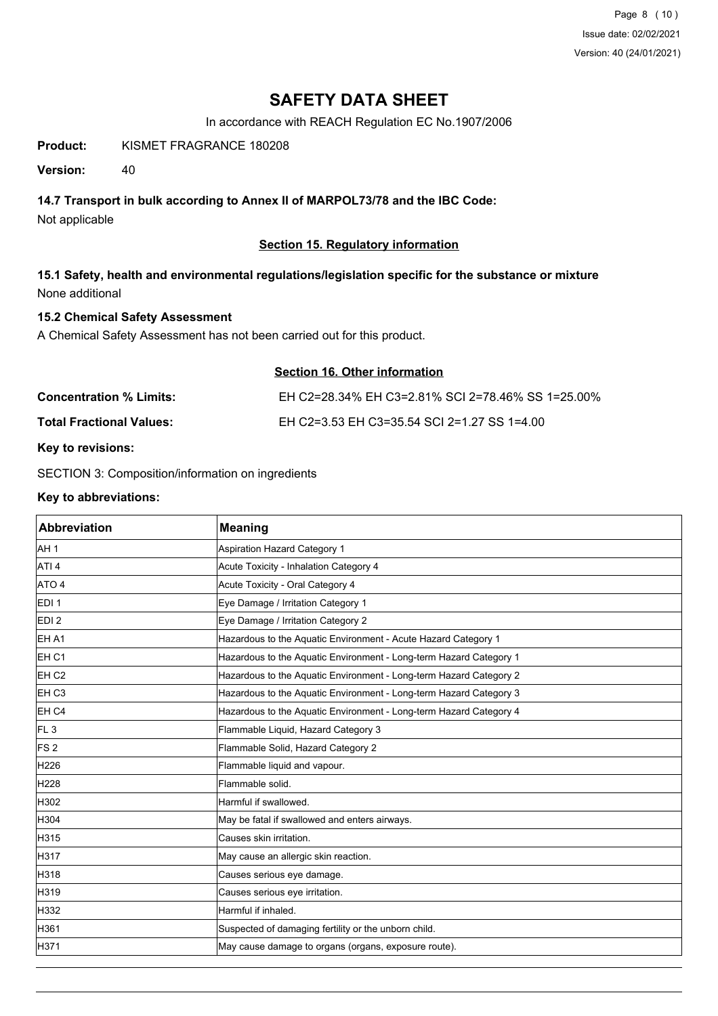Page 8 (10) Issue date: 02/02/2021 Version: 40 (24/01/2021)

# **SAFETY DATA SHEET**

In accordance with REACH Regulation EC No.1907/2006

**Product:** KISMET FRAGRANCE 180208

**Version:** 40

## **14.7 Transport in bulk according to Annex II of MARPOL73/78 and the IBC Code:**

Not applicable

## **Section 15. Regulatory information**

**15.1 Safety, health and environmental regulations/legislation specific for the substance or mixture** None additional

## **15.2 Chemical Safety Assessment**

A Chemical Safety Assessment has not been carried out for this product.

|                          | Section 16. Other information                     |
|--------------------------|---------------------------------------------------|
| Concentration % Limits:  | EH C2=28.34% EH C3=2.81% SCI 2=78.46% SS 1=25.00% |
| Total Fractional Values: | EH C2=3.53 EH C3=35.54 SCI 2=1.27 SS 1=4.00       |
|                          |                                                   |

#### **Key to revisions:**

SECTION 3: Composition/information on ingredients

#### **Key to abbreviations:**

| Abbreviation     | <b>Meaning</b>                                                     |
|------------------|--------------------------------------------------------------------|
| AH <sub>1</sub>  | Aspiration Hazard Category 1                                       |
| ATI <sub>4</sub> | Acute Toxicity - Inhalation Category 4                             |
| ATO 4            | Acute Toxicity - Oral Category 4                                   |
| EDI <sub>1</sub> | Eye Damage / Irritation Category 1                                 |
| EDI <sub>2</sub> | Eye Damage / Irritation Category 2                                 |
| EH A1            | Hazardous to the Aquatic Environment - Acute Hazard Category 1     |
| EH <sub>C1</sub> | Hazardous to the Aquatic Environment - Long-term Hazard Category 1 |
| EH <sub>C2</sub> | Hazardous to the Aquatic Environment - Long-term Hazard Category 2 |
| EH <sub>C3</sub> | Hazardous to the Aquatic Environment - Long-term Hazard Category 3 |
| EH <sub>C4</sub> | Hazardous to the Aquatic Environment - Long-term Hazard Category 4 |
| FL <sub>3</sub>  | Flammable Liquid, Hazard Category 3                                |
| IFS 2            | Flammable Solid, Hazard Category 2                                 |
| H226             | Flammable liquid and vapour.                                       |
| H228             | Flammable solid.                                                   |
| H302             | Harmful if swallowed.                                              |
| H304             | May be fatal if swallowed and enters airways.                      |
| H315             | Causes skin irritation.                                            |
| H317             | May cause an allergic skin reaction.                               |
| H318             | Causes serious eye damage.                                         |
| H319             | Causes serious eye irritation.                                     |
| H332             | Harmful if inhaled.                                                |
| H361             | Suspected of damaging fertility or the unborn child.               |
| H371             | May cause damage to organs (organs, exposure route).               |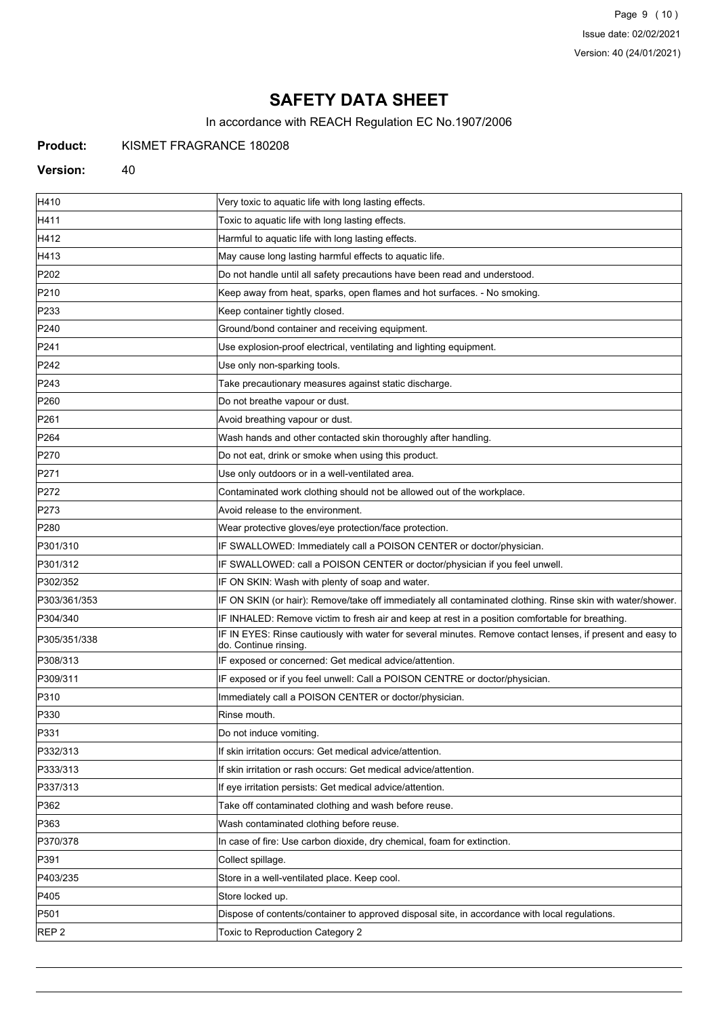Page 9 (10) Issue date: 02/02/2021 Version: 40 (24/01/2021)

# **SAFETY DATA SHEET**

In accordance with REACH Regulation EC No.1907/2006

**Product:** KISMET FRAGRANCE 180208

#### Version: 40

| H410             | Very toxic to aquatic life with long lasting effects.                                                                               |
|------------------|-------------------------------------------------------------------------------------------------------------------------------------|
| H411             | Toxic to aquatic life with long lasting effects.                                                                                    |
| H412             | Harmful to aquatic life with long lasting effects.                                                                                  |
| H413             | May cause long lasting harmful effects to aquatic life.                                                                             |
| P202             | Do not handle until all safety precautions have been read and understood.                                                           |
| P210             | Keep away from heat, sparks, open flames and hot surfaces. - No smoking.                                                            |
| P233             | Keep container tightly closed.                                                                                                      |
| P240             | Ground/bond container and receiving equipment.                                                                                      |
| P241             | Use explosion-proof electrical, ventilating and lighting equipment.                                                                 |
| P242             | Use only non-sparking tools.                                                                                                        |
| P243             | Take precautionary measures against static discharge.                                                                               |
| P <sub>260</sub> | Do not breathe vapour or dust.                                                                                                      |
| P261             | Avoid breathing vapour or dust.                                                                                                     |
| P <sub>264</sub> | Wash hands and other contacted skin thoroughly after handling.                                                                      |
| P270             | Do not eat, drink or smoke when using this product.                                                                                 |
| P271             | Use only outdoors or in a well-ventilated area.                                                                                     |
| P272             | Contaminated work clothing should not be allowed out of the workplace.                                                              |
| P273             | Avoid release to the environment.                                                                                                   |
| P <sub>280</sub> | Wear protective gloves/eye protection/face protection.                                                                              |
| P301/310         | IF SWALLOWED: Immediately call a POISON CENTER or doctor/physician.                                                                 |
| P301/312         | IF SWALLOWED: call a POISON CENTER or doctor/physician if you feel unwell.                                                          |
| P302/352         | IF ON SKIN: Wash with plenty of soap and water.                                                                                     |
| P303/361/353     | IF ON SKIN (or hair): Remove/take off immediately all contaminated clothing. Rinse skin with water/shower.                          |
| P304/340         | IF INHALED: Remove victim to fresh air and keep at rest in a position comfortable for breathing.                                    |
| P305/351/338     | IF IN EYES: Rinse cautiously with water for several minutes. Remove contact lenses, if present and easy to<br>do. Continue rinsing. |
| P308/313         | IF exposed or concerned: Get medical advice/attention.                                                                              |
| P309/311         | IF exposed or if you feel unwell: Call a POISON CENTRE or doctor/physician.                                                         |
| P310             | Immediately call a POISON CENTER or doctor/physician.                                                                               |
| P330             | Rinse mouth.                                                                                                                        |
| P331             | Do not induce vomiting                                                                                                              |
| P332/313         | If skin irritation occurs: Get medical advice/attention.                                                                            |
| P333/313         | If skin irritation or rash occurs: Get medical advice/attention.                                                                    |
| P337/313         | If eye irritation persists: Get medical advice/attention.                                                                           |
| P362             | Take off contaminated clothing and wash before reuse.                                                                               |
| P363             | Wash contaminated clothing before reuse.                                                                                            |
| P370/378         | In case of fire: Use carbon dioxide, dry chemical, foam for extinction.                                                             |
| P391             | Collect spillage.                                                                                                                   |
| P403/235         | Store in a well-ventilated place. Keep cool.                                                                                        |
| P405             | Store locked up.                                                                                                                    |
| P501             | Dispose of contents/container to approved disposal site, in accordance with local regulations.                                      |
| REP <sub>2</sub> | Toxic to Reproduction Category 2                                                                                                    |